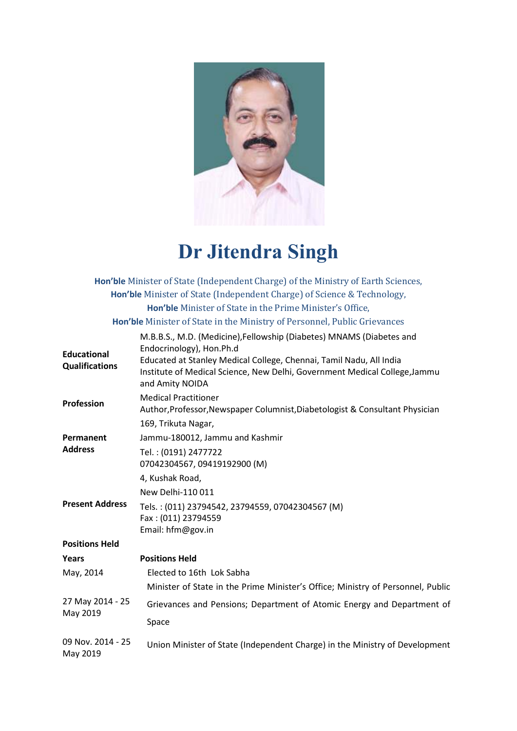

# **Dr Jitendra Singh**

|                                             | Hon'ble Minister of State (Independent Charge) of the Ministry of Earth Sciences,                                                                                                                                                                                        |
|---------------------------------------------|--------------------------------------------------------------------------------------------------------------------------------------------------------------------------------------------------------------------------------------------------------------------------|
|                                             | Hon'ble Minister of State (Independent Charge) of Science & Technology,                                                                                                                                                                                                  |
|                                             | Hon'ble Minister of State in the Prime Minister's Office,                                                                                                                                                                                                                |
|                                             | Hon'ble Minister of State in the Ministry of Personnel, Public Grievances                                                                                                                                                                                                |
| <b>Educational</b><br><b>Qualifications</b> | M.B.B.S., M.D. (Medicine), Fellowship (Diabetes) MNAMS (Diabetes and<br>Endocrinology), Hon.Ph.d<br>Educated at Stanley Medical College, Chennai, Tamil Nadu, All India<br>Institute of Medical Science, New Delhi, Government Medical College, Jammu<br>and Amity NOIDA |
| Profession                                  | <b>Medical Practitioner</b><br>Author, Professor, Newspaper Columnist, Diabetologist & Consultant Physician                                                                                                                                                              |
|                                             | 169, Trikuta Nagar,                                                                                                                                                                                                                                                      |
| Permanent                                   | Jammu-180012, Jammu and Kashmir                                                                                                                                                                                                                                          |
| <b>Address</b>                              | Tel.: (0191) 2477722<br>07042304567, 09419192900 (M)                                                                                                                                                                                                                     |
|                                             | 4, Kushak Road,                                                                                                                                                                                                                                                          |
|                                             | New Delhi-110 011                                                                                                                                                                                                                                                        |
| <b>Present Address</b>                      | Tels.: (011) 23794542, 23794559, 07042304567 (M)<br>Fax: (011) 23794559<br>Email: hfm@gov.in                                                                                                                                                                             |
| <b>Positions Held</b>                       |                                                                                                                                                                                                                                                                          |
| Years                                       | <b>Positions Held</b>                                                                                                                                                                                                                                                    |
| May, 2014                                   | Elected to 16th Lok Sabha                                                                                                                                                                                                                                                |
|                                             | Minister of State in the Prime Minister's Office; Ministry of Personnel, Public                                                                                                                                                                                          |
| 27 May 2014 - 25<br>May 2019                | Grievances and Pensions; Department of Atomic Energy and Department of                                                                                                                                                                                                   |
|                                             | Space                                                                                                                                                                                                                                                                    |
| 09 Nov. 2014 - 25<br>May 2019               | Union Minister of State (Independent Charge) in the Ministry of Development                                                                                                                                                                                              |